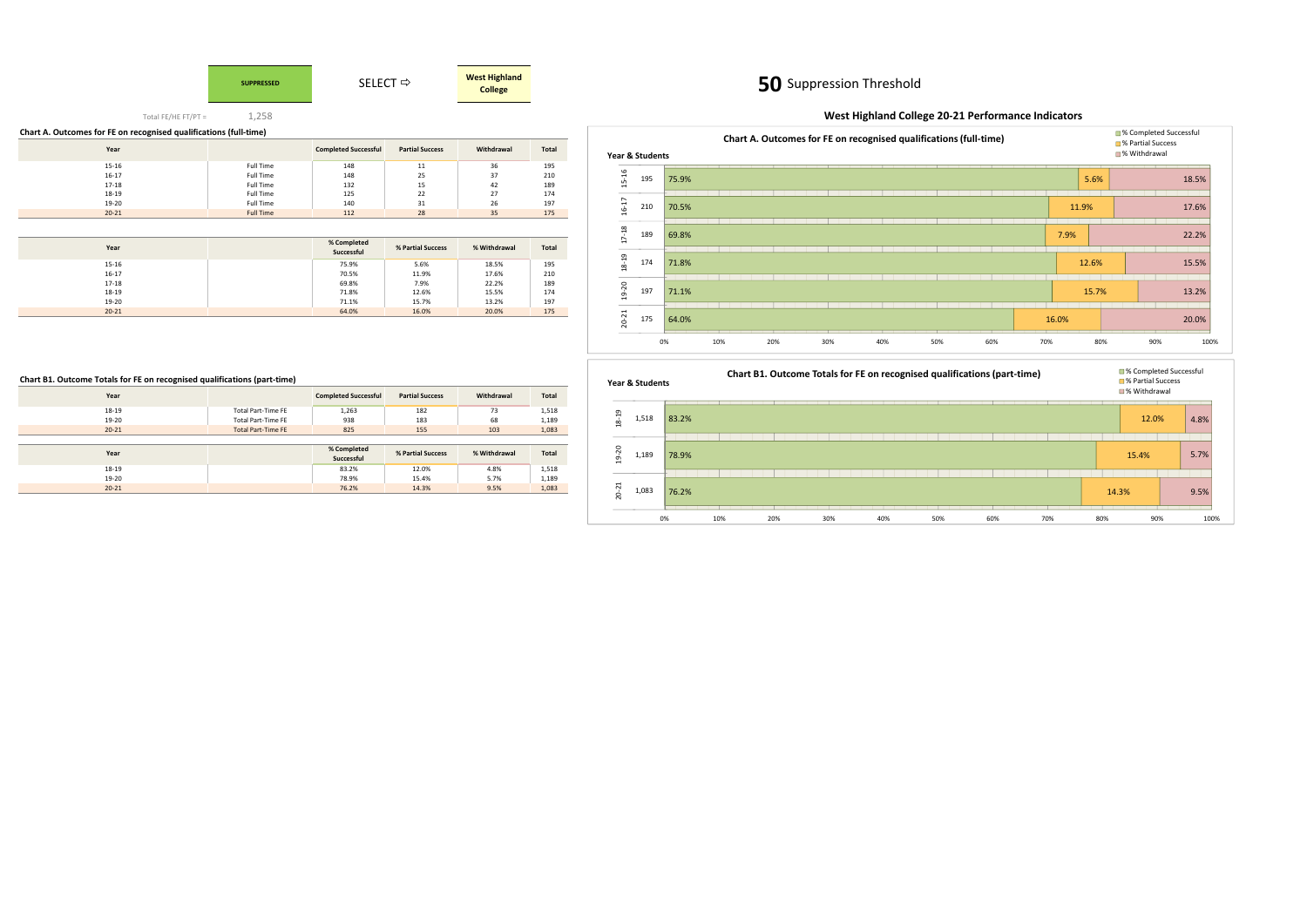# **SUPPRESSED**

### **50**50 Suppression Threshold



Total FE/HE FT/PT =1,258

| Chart A. Outcomes for FE on recognised qualifications (full-time) |                  |                             |                        |            |              |  |  |  |  |  |  |  |
|-------------------------------------------------------------------|------------------|-----------------------------|------------------------|------------|--------------|--|--|--|--|--|--|--|
| Year                                                              |                  | <b>Completed Successful</b> | <b>Partial Success</b> | Withdrawal | <b>Total</b> |  |  |  |  |  |  |  |
| 15-16                                                             | <b>Full Time</b> | 148                         | 11                     | 36         | 195          |  |  |  |  |  |  |  |
| $16-17$                                                           | Full Time        | 148                         | 25                     | 37         | 210          |  |  |  |  |  |  |  |
| 17-18                                                             | <b>Full Time</b> | 132                         | 15                     | 42         | 189          |  |  |  |  |  |  |  |
| 18-19                                                             | <b>Full Time</b> | 125                         | 22                     | 27         | 174          |  |  |  |  |  |  |  |
| 19-20                                                             | <b>Full Time</b> | 140                         | 31                     | 26         | 197          |  |  |  |  |  |  |  |
| $20 - 21$                                                         | <b>Full Time</b> | 112                         | 28                     | 35         | 175          |  |  |  |  |  |  |  |

| Year      | % Completed<br>Successful | % Partial Success | % Withdrawal | Total |
|-----------|---------------------------|-------------------|--------------|-------|
| 15-16     | 75.9%                     | 5.6%              | 18.5%        | 195   |
| $16 - 17$ | 70.5%                     | 11.9%             | 17.6%        | 210   |
| 17-18     | 69.8%                     | 7.9%              | 22.2%        | 189   |
| 18-19     | 71.8%                     | 12.6%             | 15.5%        | 174   |
| 19-20     | 71.1%                     | 15.7%             | 13.2%        | 197   |
| $20 - 21$ | 64.0%                     | 16.0%             | 20.0%        | 175   |

### **Chart B1. Outcome Totals for FE on recognised qualifications (part-time)**

| Year      |                           | <b>Completed Successful</b> | <b>Partial Success</b> | Withdrawal   | Total        |
|-----------|---------------------------|-----------------------------|------------------------|--------------|--------------|
| 18-19     | Total Part-Time FE        | 1,263                       | 182                    | 73           | 1,518        |
| 19-20     | Total Part-Time FE        | 938                         | 183                    | 68           | 1,189        |
| $20 - 21$ | <b>Total Part-Time FE</b> | 825                         | 155                    | 103          | 1,083        |
|           |                           |                             |                        |              |              |
|           |                           |                             |                        |              |              |
| Year      |                           | % Completed<br>Successful   | % Partial Success      | % Withdrawal | <b>Total</b> |
| 18-19     |                           | 83.2%                       | 12.0%                  | 4.8%         | 1,518        |
| 19-20     |                           | 78.9%                       | 15.4%                  | 5.7%         | 1,189        |

# **West Highland College 20-21 Performance Indicators**



### 83.2%78.9%76.2%0% 10% 20% 30% 40% 50% 60% 70% 80% 90% 100% 1,518 1,189 1,08318-19 19-20 20-21



# **Year & Students**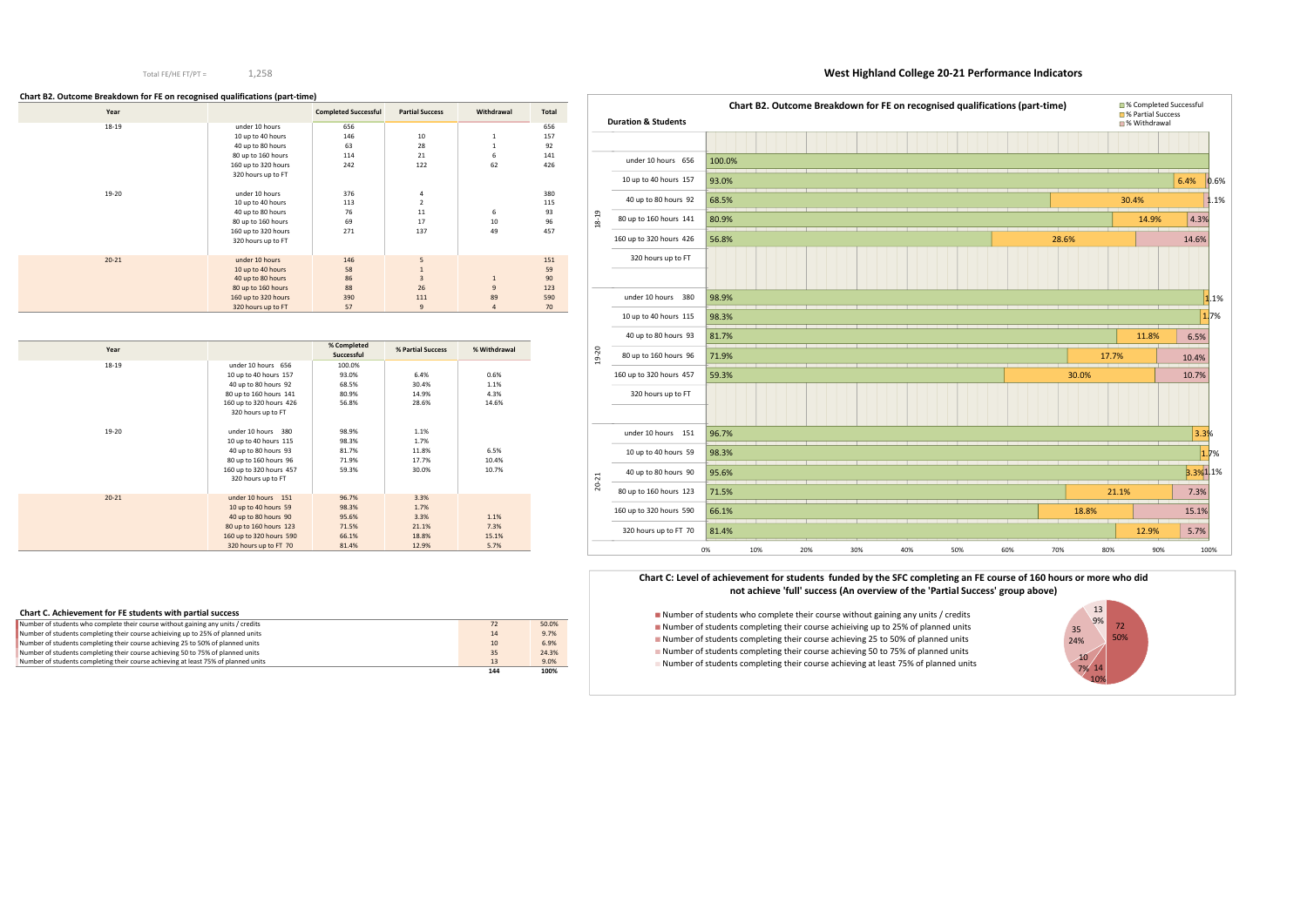### Total FE/HE FT/PT =1,258

### **West Highland College 20-21 Performance Indicators**

### **Chart B2. Outcome Breakdown for FE on recognised qualifications (part-time)**

| Year      |                     | <b>Completed Successful</b> | <b>Partial Success</b> | Withdrawal     | <b>Total</b> |
|-----------|---------------------|-----------------------------|------------------------|----------------|--------------|
| 18-19     | under 10 hours      | 656                         |                        |                | 656          |
|           | 10 up to 40 hours   | 146                         | 10                     | 1              | 157          |
|           | 40 up to 80 hours   | 63                          | 28                     | 1              | 92           |
|           | 80 up to 160 hours  | 114                         | 21                     | 6              | 141          |
|           | 160 up to 320 hours | 242                         | 122                    | 62             | 426          |
|           | 320 hours up to FT  |                             |                        |                |              |
|           |                     |                             |                        |                |              |
| 19-20     | under 10 hours      | 376                         | 4                      |                | 380          |
|           | 10 up to 40 hours   | 113                         | $\overline{2}$         |                | 115          |
|           | 40 up to 80 hours   | 76                          | 11                     | 6              | 93           |
|           | 80 up to 160 hours  | 69                          | 17                     | 10             | 96           |
|           | 160 up to 320 hours | 271                         | 137                    | 49             | 457          |
|           | 320 hours up to FT  |                             |                        |                |              |
|           |                     |                             |                        |                |              |
| $20 - 21$ | under 10 hours      | 146                         | 5                      |                | 151          |
|           | 10 up to 40 hours   | 58                          | $1\,$                  |                | 59           |
|           | 40 up to 80 hours   | 86                          | 3                      | $\mathbf{1}$   | 90           |
|           | 80 up to 160 hours  | 88                          | 26                     | 9              | 123          |
|           | 160 up to 320 hours | 390                         | 111                    | 89             | 590          |
|           | 320 hours up to FT  | 57                          | 9                      | $\overline{4}$ | 70           |

| Year      |                         | % Completed<br>Successful | % Partial Success | % Withdrawal |
|-----------|-------------------------|---------------------------|-------------------|--------------|
| 18-19     | under 10 hours 656      | 100.0%                    |                   |              |
|           | 10 up to 40 hours 157   | 93.0%                     | 6.4%              | 0.6%         |
|           | 40 up to 80 hours 92    | 68.5%                     | 30.4%             | 1.1%         |
|           | 80 up to 160 hours 141  | 80.9%                     | 14.9%             | 4.3%         |
|           | 160 up to 320 hours 426 | 56.8%                     | 28.6%             | 14.6%        |
|           | 320 hours up to FT      |                           |                   |              |
| 19-20     | under 10 hours 380      | 98.9%                     | 1.1%              |              |
|           | 10 up to 40 hours 115   | 98.3%                     | 1.7%              |              |
|           | 40 up to 80 hours 93    | 81.7%                     | 11.8%             | 6.5%         |
|           | 80 up to 160 hours 96   | 71.9%                     | 17.7%             | 10.4%        |
|           | 160 up to 320 hours 457 | 59.3%                     | 30.0%             | 10.7%        |
|           | 320 hours up to FT      |                           |                   |              |
| $20 - 21$ | under 10 hours 151      | 96.7%                     | 3.3%              |              |
|           | 10 up to 40 hours 59    | 98.3%                     | 1.7%              |              |
|           | 40 up to 80 hours 90    | 95.6%                     | 3.3%              | 1.1%         |
|           | 80 up to 160 hours 123  | 71.5%                     | 21.1%             | 7.3%         |
|           | 160 up to 320 hours 590 | 66.1%                     | 18.8%             | 15.1%        |
|           | 320 hours up to FT 70   | 81.4%                     | 12.9%             | 5.7%         |

■ Number of students who complete their course without gaining any units / credits Number of students completing their course achieiving up to 25% of planned units Number of students completing their course achieving 25 to 50% of planned units Number of students completing their course achieving 50 to 75% of planned unitsNumber of students completing their course achieving at least 75% of planned units

| Chart C. Achievement for FE students with partial success                          |     |       |
|------------------------------------------------------------------------------------|-----|-------|
| Number of students who complete their course without gaining any units / credits   | 72  | 50.0% |
| Number of students completing their course achieiving up to 25% of planned units   | 14  | 9.7%  |
| Number of students completing their course achieving 25 to 50% of planned units    | 10  | 6.9%  |
| Number of students completing their course achieving 50 to 75% of planned units    | 35  | 24.3% |
| Number of students completing their course achieving at least 75% of planned units | 13  | 9.0%  |
|                                                                                    | 144 | 100%  |

|           | <b>Duration &amp; Students</b> |        |     | Chart B2. Outcome Breakdown for FE on recognised qualifications (part-time) |     |  |     |     |  |     |  |     |  |       |       |       |     |       | ■% Completed<br>■% Partial Succ<br>■% Withdrawa |       |  |
|-----------|--------------------------------|--------|-----|-----------------------------------------------------------------------------|-----|--|-----|-----|--|-----|--|-----|--|-------|-------|-------|-----|-------|-------------------------------------------------|-------|--|
|           |                                |        |     |                                                                             |     |  |     |     |  |     |  |     |  |       |       |       |     |       |                                                 |       |  |
|           | under 10 hours 656             | 100.0% |     |                                                                             |     |  |     |     |  |     |  |     |  |       |       |       |     |       |                                                 |       |  |
|           | 10 up to 40 hours 157          | 93.0%  |     |                                                                             |     |  |     |     |  |     |  |     |  |       |       |       |     |       |                                                 |       |  |
|           | 40 up to 80 hours 92           | 68.5%  |     |                                                                             |     |  |     |     |  |     |  |     |  |       |       |       |     |       | 30.4%                                           |       |  |
| $18 - 19$ | 80 up to 160 hours 141         | 80.9%  |     |                                                                             |     |  |     |     |  |     |  |     |  |       |       |       |     |       |                                                 | 14.9% |  |
|           | 160 up to 320 hours 426        | 56.8%  |     |                                                                             |     |  |     |     |  |     |  |     |  | 28.6% |       |       |     |       |                                                 |       |  |
|           | 320 hours up to FT             |        |     |                                                                             |     |  |     |     |  |     |  |     |  |       |       |       |     |       |                                                 |       |  |
|           |                                |        |     |                                                                             |     |  |     |     |  |     |  |     |  |       |       |       |     |       |                                                 |       |  |
|           | under 10 hours<br>380          | 98.9%  |     |                                                                             |     |  |     |     |  |     |  |     |  |       |       |       |     |       |                                                 |       |  |
|           | 10 up to 40 hours 115          | 98.3%  |     |                                                                             |     |  |     |     |  |     |  |     |  |       |       |       |     |       |                                                 |       |  |
|           | 40 up to 80 hours 93           | 81.7%  |     |                                                                             |     |  |     |     |  |     |  |     |  |       |       |       |     |       | 11.8%                                           |       |  |
| 19-20     | 80 up to 160 hours 96          | 71.9%  |     |                                                                             |     |  |     |     |  |     |  |     |  |       |       |       |     | 17.7% |                                                 |       |  |
|           | 160 up to 320 hours 457        | 59.3%  |     |                                                                             |     |  |     |     |  |     |  |     |  |       | 30.0% |       |     |       |                                                 |       |  |
|           | 320 hours up to FT             |        |     |                                                                             |     |  |     |     |  |     |  |     |  |       |       |       |     |       |                                                 |       |  |
|           |                                |        |     |                                                                             |     |  |     |     |  |     |  |     |  |       |       |       |     |       |                                                 |       |  |
|           | under 10 hours 151             | 96.7%  |     |                                                                             |     |  |     |     |  |     |  |     |  |       |       |       |     |       |                                                 |       |  |
|           | 10 up to 40 hours 59           | 98.3%  |     |                                                                             |     |  |     |     |  |     |  |     |  |       |       |       |     |       |                                                 |       |  |
|           | 40 up to 80 hours 90           | 95.6%  |     |                                                                             |     |  |     |     |  |     |  |     |  |       |       |       |     |       |                                                 |       |  |
| $20 - 21$ | 80 up to 160 hours 123         | 71.5%  |     |                                                                             |     |  |     |     |  |     |  |     |  |       |       |       |     | 21.1% |                                                 |       |  |
|           | 160 up to 320 hours 590        | 66.1%  |     |                                                                             |     |  |     |     |  |     |  |     |  |       |       | 18.8% |     |       |                                                 |       |  |
|           | 320 hours up to FT 70          | 81.4%  |     |                                                                             |     |  |     |     |  |     |  |     |  |       |       |       |     |       | 12.9%                                           |       |  |
|           |                                | 0%     | 10% |                                                                             | 20% |  | 30% | 40% |  | 50% |  | 60% |  | 70%   |       |       | 80% |       |                                                 | 90%   |  |





### **Chart C: Level of achievement for students funded by the SFC completing an FE course of 160 hours or more who did not achieve 'full' success (An overview of the 'Partial Success' group above)**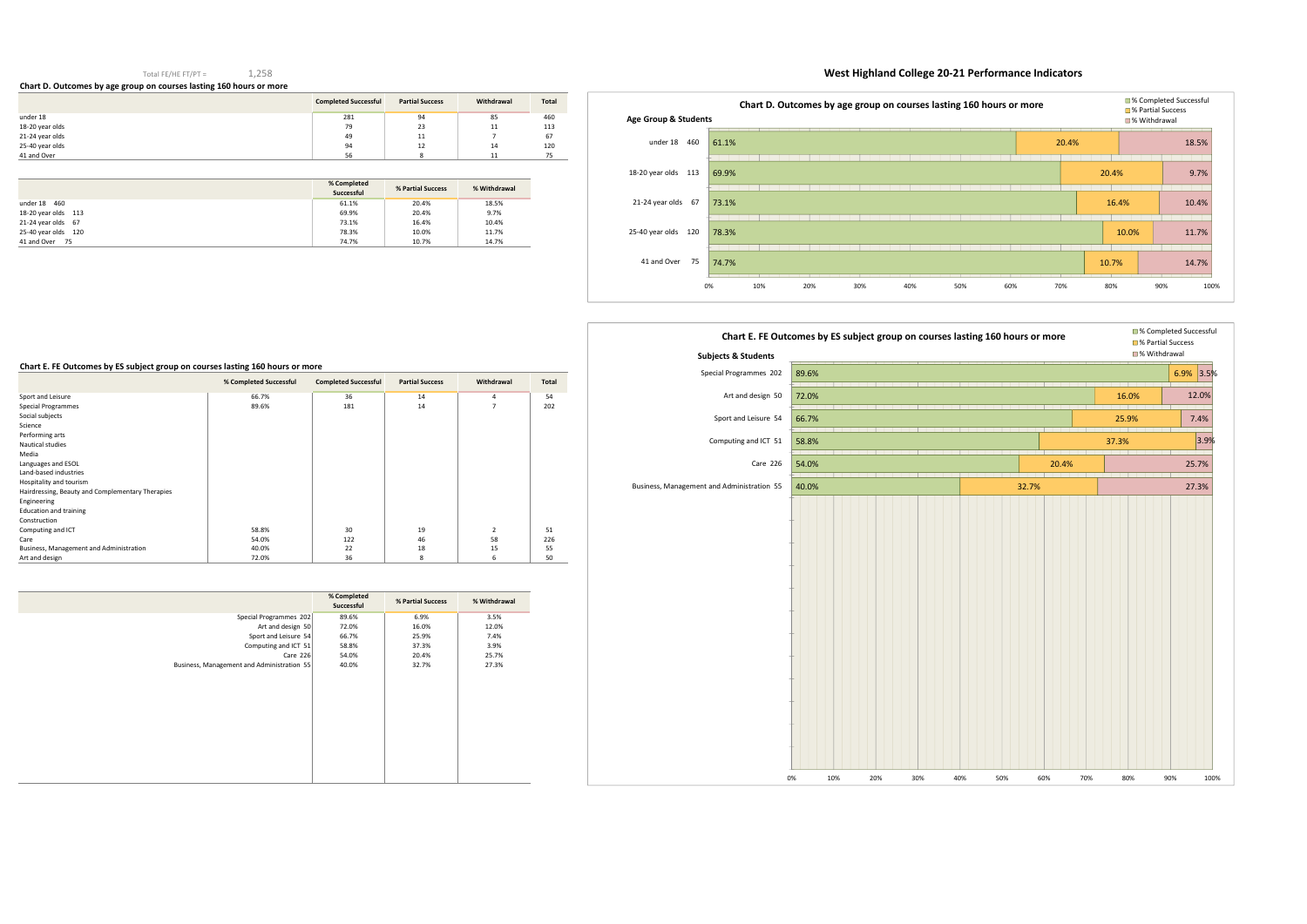### Total FE/HE FT/PT =1,258

**Chart D. Outcomes by age group on courses lasting 160 hours or more** 

# **West Highland College 20-21 Performance Indicators**

|                 | <b>Completed Successful</b> | <b>Partial Success</b> | Withdrawal | Total |
|-----------------|-----------------------------|------------------------|------------|-------|
| under 18        | 281                         | 94                     | 85         | 460   |
| 18-20 year olds | 79                          | 23                     | 11         | 113   |
| 21-24 year olds | 49                          | 11                     |            | 67    |
| 25-40 year olds | 94                          | 12                     | 14         | 120   |
| 41 and Over     | 56                          | $\circ$<br>o           | 11         | 75    |

|                     | % Completed<br>Successful | % Partial Success | % Withdrawal |
|---------------------|---------------------------|-------------------|--------------|
| under 18 460        | 61.1%                     | 20.4%             | 18.5%        |
| 18-20 year olds 113 | 69.9%                     | 20.4%             | 9.7%         |
| 21-24 year olds 67  | 73.1%                     | 16.4%             | 10.4%        |
| 25-40 year olds 120 | 78.3%                     | 10.0%             | 11.7%        |
| 41 and Over<br>- 75 | 74.7%                     | 10.7%             | 14.7%        |

| Chart E. FE Outcomes by ES subject group on courses lasting 160 hours or more |                        |                             |                        |                |       |  |  |  |  |  |  |
|-------------------------------------------------------------------------------|------------------------|-----------------------------|------------------------|----------------|-------|--|--|--|--|--|--|
|                                                                               | % Completed Successful | <b>Completed Successful</b> | <b>Partial Success</b> | Withdrawal     | Total |  |  |  |  |  |  |
| Sport and Leisure                                                             | 66.7%                  | 36                          | 14                     | 4              | 54    |  |  |  |  |  |  |
| Special Programmes                                                            | 89.6%                  | 181                         | 14                     | 7              | 202   |  |  |  |  |  |  |
| Social subjects                                                               |                        |                             |                        |                |       |  |  |  |  |  |  |
| Science                                                                       |                        |                             |                        |                |       |  |  |  |  |  |  |
| Performing arts                                                               |                        |                             |                        |                |       |  |  |  |  |  |  |
| Nautical studies                                                              |                        |                             |                        |                |       |  |  |  |  |  |  |
| Media                                                                         |                        |                             |                        |                |       |  |  |  |  |  |  |
| Languages and ESOL                                                            |                        |                             |                        |                |       |  |  |  |  |  |  |
| Land-based industries                                                         |                        |                             |                        |                |       |  |  |  |  |  |  |
| Hospitality and tourism                                                       |                        |                             |                        |                |       |  |  |  |  |  |  |
| Hairdressing, Beauty and Complementary Therapies                              |                        |                             |                        |                |       |  |  |  |  |  |  |
| Engineering                                                                   |                        |                             |                        |                |       |  |  |  |  |  |  |
| <b>Education and training</b>                                                 |                        |                             |                        |                |       |  |  |  |  |  |  |
| Construction                                                                  |                        |                             |                        |                |       |  |  |  |  |  |  |
| Computing and ICT                                                             | 58.8%                  | 30                          | 19                     | $\overline{2}$ | 51    |  |  |  |  |  |  |
| Care                                                                          | 54.0%                  | 122                         | 46                     | 58             | 226   |  |  |  |  |  |  |
| Business, Management and Administration                                       | 40.0%                  | 22                          | 18                     | 15             | 55    |  |  |  |  |  |  |
| Art and design                                                                | 72.0%                  | 36                          | 8                      | 6              | 50    |  |  |  |  |  |  |

|                                            | % Completed<br>Successful | % Partial Success | % Withdrawal |
|--------------------------------------------|---------------------------|-------------------|--------------|
| Special Programmes 202                     | 89.6%                     | 6.9%              | 3.5%         |
| Art and design 50                          | 72.0%                     | 16.0%             | 12.0%        |
| Sport and Leisure 54                       | 66.7%                     | 25.9%             | 7.4%         |
| Computing and ICT 51                       | 58.8%                     | 37.3%             | 3.9%         |
| Care 226                                   | 54.0%                     | 20.4%             | 25.7%        |
| Business, Management and Administration 55 | 40.0%                     | 32.7%             | 27.3%        |
|                                            |                           |                   |              |



| <b>Subjects &amp; Students</b>             |       |     |     |     |     |     |       |       |       | ■% Withdrawa |
|--------------------------------------------|-------|-----|-----|-----|-----|-----|-------|-------|-------|--------------|
| Special Programmes 202                     | 89.6% |     |     |     |     |     |       |       |       | 6.5          |
| Art and design 50                          | 72.0% |     |     |     |     |     |       |       | 16.0% |              |
| Sport and Leisure 54                       | 66.7% |     |     |     |     |     |       |       | 25.9% |              |
| Computing and ICT 51                       | 58.8% |     |     |     |     |     |       |       | 37.3% |              |
| Care 226                                   | 54.0% |     |     |     |     |     |       | 20.4% |       |              |
| Business, Management and Administration 55 | 40.0% |     |     |     |     |     | 32.7% |       |       |              |
|                                            | 0%    | 10% | 20% | 30% | 40% | 50% | 60%   | 70%   | 80%   | 90%          |